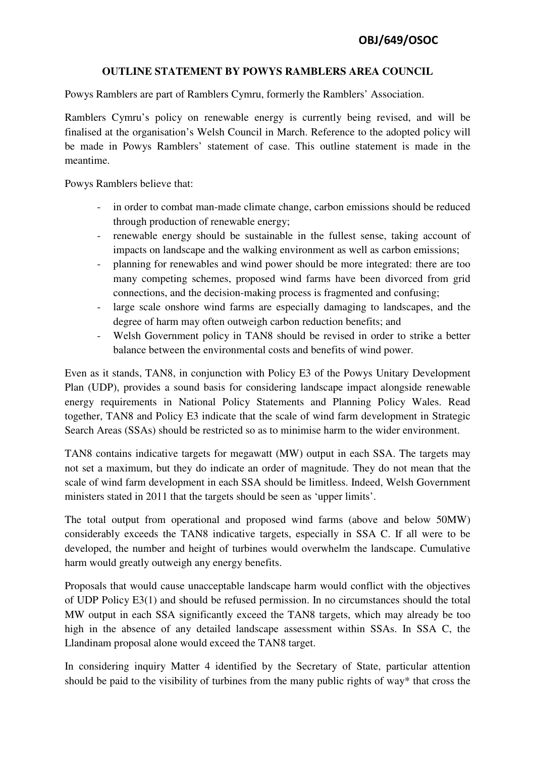## **OUTLINE STATEMENT BY POWYS RAMBLERS AREA COUNCIL**

Powys Ramblers are part of Ramblers Cymru, formerly the Ramblers' Association.

Ramblers Cymru's policy on renewable energy is currently being revised, and will be finalised at the organisation's Welsh Council in March. Reference to the adopted policy will be made in Powys Ramblers' statement of case. This outline statement is made in the meantime.

Powys Ramblers believe that:

- in order to combat man-made climate change, carbon emissions should be reduced through production of renewable energy;
- renewable energy should be sustainable in the fullest sense, taking account of impacts on landscape and the walking environment as well as carbon emissions;
- planning for renewables and wind power should be more integrated: there are too many competing schemes, proposed wind farms have been divorced from grid connections, and the decision-making process is fragmented and confusing;
- large scale onshore wind farms are especially damaging to landscapes, and the degree of harm may often outweigh carbon reduction benefits; and
- Welsh Government policy in TAN8 should be revised in order to strike a better balance between the environmental costs and benefits of wind power.

Even as it stands, TAN8, in conjunction with Policy E3 of the Powys Unitary Development Plan (UDP), provides a sound basis for considering landscape impact alongside renewable energy requirements in National Policy Statements and Planning Policy Wales. Read together, TAN8 and Policy E3 indicate that the scale of wind farm development in Strategic Search Areas (SSAs) should be restricted so as to minimise harm to the wider environment.

TAN8 contains indicative targets for megawatt (MW) output in each SSA. The targets may not set a maximum, but they do indicate an order of magnitude. They do not mean that the scale of wind farm development in each SSA should be limitless. Indeed, Welsh Government ministers stated in 2011 that the targets should be seen as 'upper limits'.

The total output from operational and proposed wind farms (above and below 50MW) considerably exceeds the TAN8 indicative targets, especially in SSA C. If all were to be developed, the number and height of turbines would overwhelm the landscape. Cumulative harm would greatly outweigh any energy benefits.

Proposals that would cause unacceptable landscape harm would conflict with the objectives of UDP Policy E3(1) and should be refused permission. In no circumstances should the total MW output in each SSA significantly exceed the TAN8 targets, which may already be too high in the absence of any detailed landscape assessment within SSAs. In SSA C, the Llandinam proposal alone would exceed the TAN8 target.

In considering inquiry Matter 4 identified by the Secretary of State, particular attention should be paid to the visibility of turbines from the many public rights of way\* that cross the